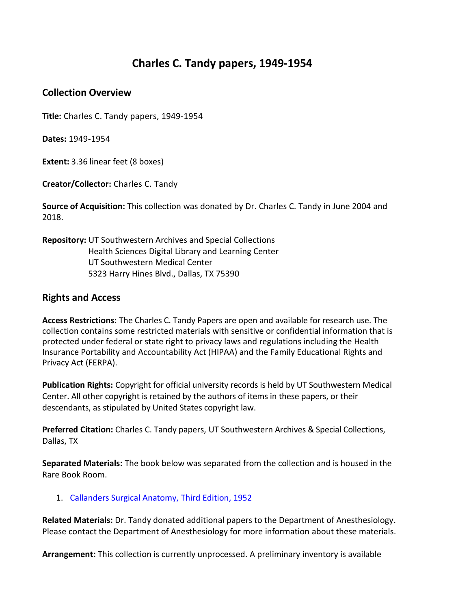## **Charles C. Tandy papers, 1949-1954**

## **Collection Overview**

**Title:** Charles C. Tandy papers, 1949-1954

**Dates:** 1949-1954

**Extent:** 3.36 linear feet (8 boxes)

**Creator/Collector:** Charles C. Tandy

**Source of Acquisition:** This collection was donated by Dr. Charles C. Tandy in June 2004 and 2018.

**Repository:** UT Southwestern Archives and Special Collections Health Sciences Digital Library and Learning Center UT Southwestern Medical Center 5323 Harry Hines Blvd., Dallas, TX 75390

## **Rights and Access**

**Access Restrictions:** The Charles C. Tandy Papers are open and available for research use. The collection contains some restricted materials with sensitive or confidential information that is protected under federal or state right to privacy laws and regulations including the Health Insurance Portability and Accountability Act (HIPAA) and the Family Educational Rights and Privacy Act (FERPA).

**Publication Rights:** Copyright for official university records is held by UT Southwestern Medical Center. All other copyright is retained by the authors of items in these papers, or their descendants, as stipulated by United States copyright law.

**Preferred Citation:** Charles C. Tandy papers, UT Southwestern Archives & Special Collections, Dallas, TX

**Separated Materials:** The book below was separated from the collection and is housed in the Rare Book Room.

1. [Callanders Surgical Anatomy, Third Edition, 1952](https://utswm.bywatersolutions.com/cgi-bin/koha/opac-detail.pl?biblionumber=1032388&query_desc=kw%2Cwrdl%3A%20Callanders%20Surgical%20Anatomy)

**Related Materials:** Dr. Tandy donated additional papers to the Department of Anesthesiology. Please contact the Department of Anesthesiology for more information about these materials.

**Arrangement:** This collection is currently unprocessed. A preliminary inventory is available